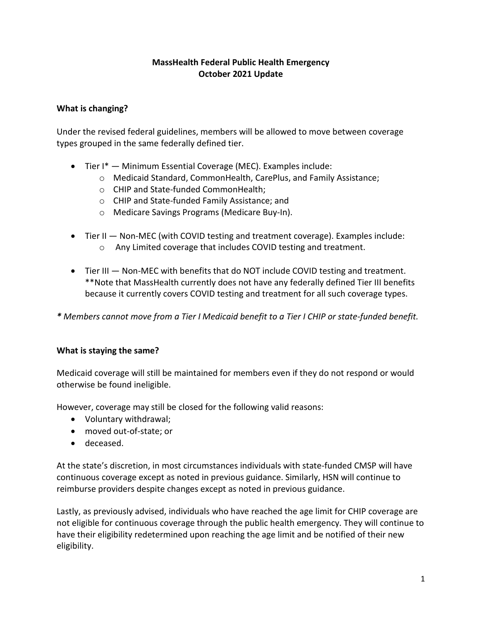## **MassHealth Federal Public Health Emergency October 2021 Update**

# **What is changing?**

Under the revised federal guidelines, members will be allowed to move between coverage types grouped in the same federally defined tier.

- Tier I\* Minimum Essential Coverage (MEC). Examples include:
	- o Medicaid Standard, CommonHealth, CarePlus, and Family Assistance;
	- o CHIP and State-funded CommonHealth;
	- o CHIP and State-funded Family Assistance; and
	- o Medicare Savings Programs (Medicare Buy-In).
- Tier II Non-MEC (with COVID testing and treatment coverage). Examples include: o Any Limited coverage that includes COVID testing and treatment.
- Tier III Non-MEC with benefits that do NOT include COVID testing and treatment. \*\*Note that MassHealth currently does not have any federally defined Tier III benefits because it currently covers COVID testing and treatment for all such coverage types.

*\* Members cannot move from a Tier I Medicaid benefit to a Tier I CHIP or state-funded benefit.*

# **What is staying the same?**

Medicaid coverage will still be maintained for members even if they do not respond or would otherwise be found ineligible.

However, coverage may still be closed for the following valid reasons:

- Voluntary withdrawal;
- moved out-of-state; or
- deceased.

At the state's discretion, in most circumstances individuals with state-funded CMSP will have continuous coverage except as noted in previous guidance. Similarly, HSN will continue to reimburse providers despite changes except as noted in previous guidance.

Lastly, as previously advised, individuals who have reached the age limit for CHIP coverage are not eligible for continuous coverage through the public health emergency. They will continue to have their eligibility redetermined upon reaching the age limit and be notified of their new eligibility.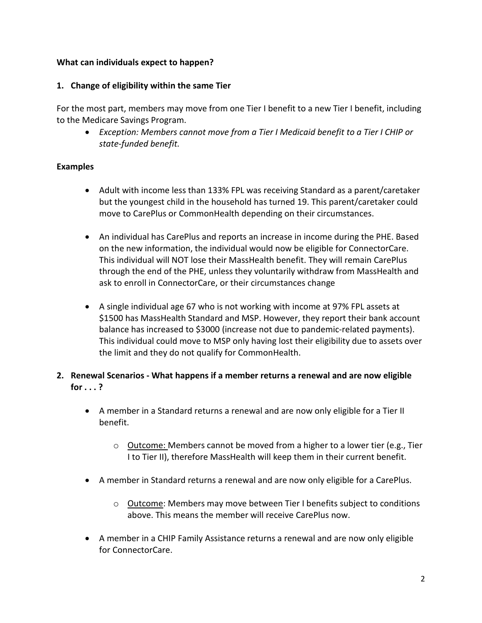### **What can individuals expect to happen?**

#### **1. Change of eligibility within the same Tier**

For the most part, members may move from one Tier I benefit to a new Tier I benefit, including to the Medicare Savings Program.

• *Exception: Members cannot move from a Tier I Medicaid benefit to a Tier I CHIP or state-funded benefit.*

#### **Examples**

- Adult with income less than 133% FPL was receiving Standard as a parent/caretaker but the youngest child in the household has turned 19. This parent/caretaker could move to CarePlus or CommonHealth depending on their circumstances.
- An individual has CarePlus and reports an increase in income during the PHE. Based on the new information, the individual would now be eligible for ConnectorCare. This individual will NOT lose their MassHealth benefit. They will remain CarePlus through the end of the PHE, unless they voluntarily withdraw from MassHealth and ask to enroll in ConnectorCare, or their circumstances change
- A single individual age 67 who is not working with income at 97% FPL assets at \$1500 has MassHealth Standard and MSP. However, they report their bank account balance has increased to \$3000 (increase not due to pandemic-related payments). This individual could move to MSP only having lost their eligibility due to assets over the limit and they do not qualify for CommonHealth.
- **2. Renewal Scenarios - What happens if a member returns a renewal and are now eligible for . . . ?** 
	- A member in a Standard returns a renewal and are now only eligible for a Tier II benefit.
		- o Outcome: Members cannot be moved from a higher to a lower tier (e.g., Tier I to Tier II), therefore MassHealth will keep them in their current benefit.
	- A member in Standard returns a renewal and are now only eligible for a CarePlus.
		- $\circ$  Outcome: Members may move between Tier I benefits subject to conditions above. This means the member will receive CarePlus now.
	- A member in a CHIP Family Assistance returns a renewal and are now only eligible for ConnectorCare.